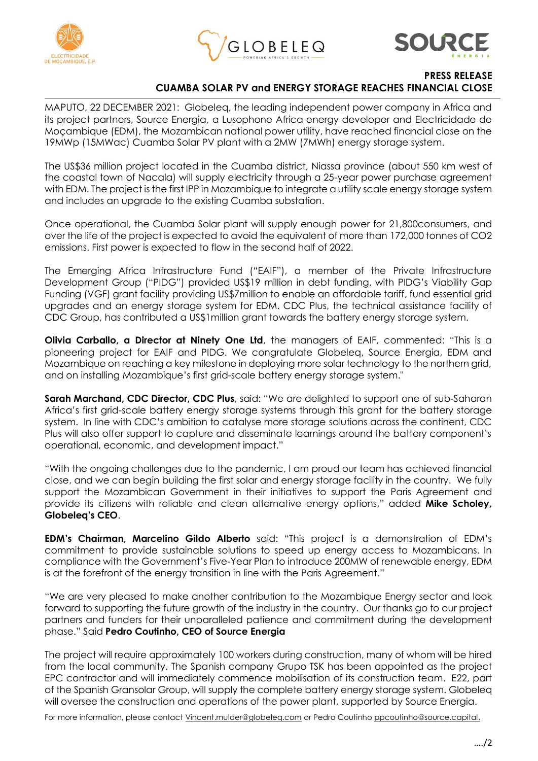





**PRESS RELEASE CUAMBA SOLAR PV and ENERGY STORAGE REACHES FINANCIAL CLOSE**

MAPUTO, 22 DECEMBER 2021: Globeleq, the leading independent power company in Africa and its project partners, Source Energia, a Lusophone Africa energy developer and Electricidade de Moçambique (EDM), the Mozambican national power utility, have reached financial close on the 19MWp (15MWac) Cuamba Solar PV plant with a 2MW (7MWh) energy storage system.

The US\$36 million project located in the Cuamba district, Niassa province (about 550 km west of the coastal town of Nacala) will supply electricity through a 25-year power purchase agreement with EDM. The project is the first IPP in Mozambique to integrate a utility scale energy storage system and includes an upgrade to the existing Cuamba substation.

Once operational, the Cuamba Solar plant will supply enough power for 21,800consumers, and over the life of the project is expected to avoid the equivalent of more than 172,000 tonnes of CO2 emissions. First power is expected to flow in the second half of 2022.

The Emerging Africa Infrastructure Fund ("EAIF"), a member of the Private Infrastructure Development Group ("PIDG") provided US\$19 million in debt funding, with PIDG's Viability Gap Funding (VGF) grant facility providing US\$7million to enable an affordable tariff, fund essential grid upgrades and an energy storage system for EDM. CDC Plus, the technical assistance facility of CDC Group, has contributed a US\$1million grant towards the battery energy storage system.

**Olivia Carballo, a Director at Ninety One Ltd**, the managers of EAIF, commented: "This is a pioneering project for EAIF and PIDG. We congratulate Globeleq, Source Energia, EDM and Mozambique on reaching a key milestone in deploying more solar technology to the northern grid, and on installing Mozambique's first grid-scale battery energy storage system."

**Sarah Marchand, CDC Director, CDC Plus**, said: "We are delighted to support one of sub-Saharan Africa's first grid-scale battery energy storage systems through this grant for the battery storage system. In line with CDC's ambition to catalyse more storage solutions across the continent, CDC Plus will also offer support to capture and disseminate learnings around the battery component's operational, economic, and development impact."

"With the ongoing challenges due to the pandemic, I am proud our team has achieved financial close, and we can begin building the first solar and energy storage facility in the country. We fully support the Mozambican Government in their initiatives to support the Paris Agreement and provide its citizens with reliable and clean alternative energy options," added **Mike Scholey, Globeleq's CEO**.

**EDM's Chairman, Marcelino Gildo Alberto** said: "This project is a demonstration of EDM's commitment to provide sustainable solutions to speed up energy access to Mozambicans. In compliance with the Government's Five-Year Plan to introduce 200MW of renewable energy, EDM is at the forefront of the energy transition in line with the Paris Agreement."

"We are very pleased to make another contribution to the Mozambique Energy sector and look forward to supporting the future growth of the industry in the country. Our thanks go to our project partners and funders for their unparalleled patience and commitment during the development phase." Said **Pedro Coutinho, CEO of Source Energia**

The project will require approximately 100 workers during construction, many of whom will be hired from the local community. The Spanish company Grupo TSK has been appointed as the project EPC contractor and will immediately commence mobilisation of its construction team. E22, part of the Spanish Gransolar Group, will supply the complete battery energy storage system. Globeleq will oversee the construction and operations of the power plant, supported by Source Energia.

For more information, please contact Vincent.mulder@globeleg.com or Pedro Coutinho [ppcoutinho@source.capital.](mailto:ppcoutinho@source.capital)